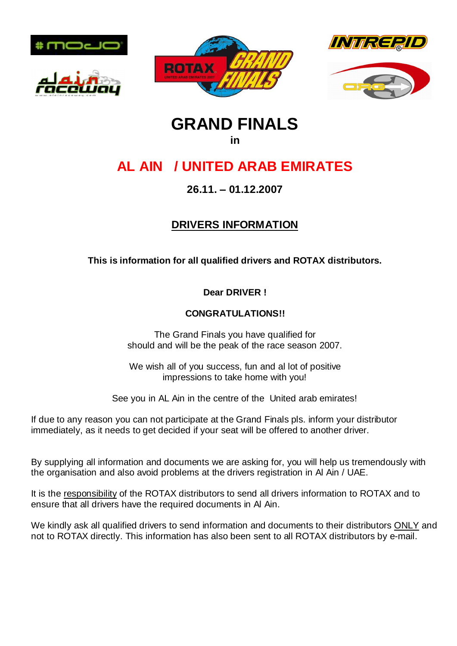









# **GRAND FINALS**

#### **in**

## **AL AIN / UNITED ARAB EMIRATES**

## **26.11. – 01.12.2007**

## **DRIVERS INFORMATION**

## **This is information for all qualified drivers and ROTAX distributors.**

**Dear DRIVER !**

### **CONGRATULATIONS!!**

The Grand Finals you have qualified for should and will be the peak of the race season 2007.

We wish all of you success, fun and al lot of positive impressions to take home with you!

See you in AL Ain in the centre of the United arab emirates!

If due to any reason you can not participate at the Grand Finals pls. inform your distributor immediately, as it needs to get decided if your seat will be offered to another driver.

By supplying all information and documents we are asking for, you will help us tremendously with the organisation and also avoid problems at the drivers registration in Al Ain / UAE.

It is the responsibility of the ROTAX distributors to send all drivers information to ROTAX and to ensure that all drivers have the required documents in Al Ain.

We kindly ask all qualified drivers to send information and documents to their distributors ONLY and not to ROTAX directly. This information has also been sent to all ROTAX distributors by e-mail.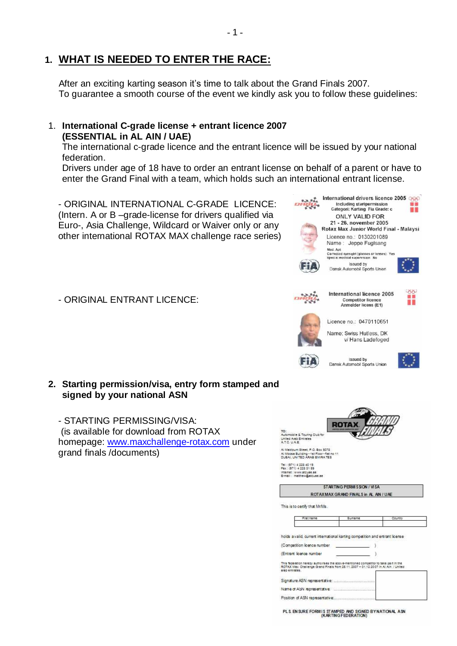## **1. WHAT IS NEEDED TO ENTER THE RACE:**

After an exciting karting season it's time to talk about the Grand Finals 2007. To guarantee a smooth course of the event we kindly ask you to follow these guidelines:

- 1 -

#### 1. **International C-grade license + entrant licence 2007 (ESSENTIAL in AL AIN / UAE)**

The international c-grade licence and the entrant licence will be issued by your national federation.

Drivers under age of 18 have to order an entrant license on behalf of a parent or have to enter the Grand Final with a team, which holds such an international entrant license.

International drivers licence 2005 - ORIGINAL INTERNATIONAL C-GRADE LICENCE: (Intern. A or B –grade-license for drivers qualified via Euro-, Asia Challenge, Wildcard or Waiver only or any other international ROTAX MAX challenge race series)

- ORIGINAL ENTRANT LICENCE:

#### **2. Starting permission/visa, entry form stamped and signed by your national ASN**

- STARTING PERMISSING/VISA: (is available for download from ROTAX homepage: <www.maxchallenge-rotax.com> under grand finals /documents)

| TO:<br>Automobile & Touring Club for<br>United Arab Emirates<br>ATC UAE                                                                                                                                                                                                                                                                                                                                                 |                                       |        |  |
|-------------------------------------------------------------------------------------------------------------------------------------------------------------------------------------------------------------------------------------------------------------------------------------------------------------------------------------------------------------------------------------------------------------------------|---------------------------------------|--------|--|
| Ai Maktoum Street, P.O. Box 5078<br>Al Moosa Building - 1st Floor - flat no 11<br>DUBAI, UNITED ARAB EMIRATES                                                                                                                                                                                                                                                                                                           |                                       |        |  |
| Tel: (971) 4 228 40 19<br>Fax: (971) 4 228 31 59<br>internet : www.atcuae.ae<br>E-mail: matthewshatcluse ae                                                                                                                                                                                                                                                                                                             |                                       |        |  |
|                                                                                                                                                                                                                                                                                                                                                                                                                         |                                       |        |  |
|                                                                                                                                                                                                                                                                                                                                                                                                                         | STARTING PERMISSION / VISA            |        |  |
|                                                                                                                                                                                                                                                                                                                                                                                                                         | ROTAXMAX GRAND FINALS in AL AIN / UAE |        |  |
|                                                                                                                                                                                                                                                                                                                                                                                                                         |                                       |        |  |
| This is to certify that Mr/Ms.<br>First hame                                                                                                                                                                                                                                                                                                                                                                            | <b>Bustaine</b>                       | Couchy |  |
|                                                                                                                                                                                                                                                                                                                                                                                                                         |                                       |        |  |
|                                                                                                                                                                                                                                                                                                                                                                                                                         |                                       |        |  |
|                                                                                                                                                                                                                                                                                                                                                                                                                         |                                       |        |  |
|                                                                                                                                                                                                                                                                                                                                                                                                                         |                                       |        |  |
| holds a valid, current international karting competition and entrant license<br>(Competition licence number<br>(Entrant licence number<br>This federation hereby authorises the above-mentioned competitor to take part in the<br>ROTAX Max Challenge Grand Finals from 26.11.2007 - 01.12.2007 in Al-Ain / United<br>arab emirates.<br>Signature ASN representative:<br>Name of ASN representative immunocommunication |                                       |        |  |

PL S. EN SURE FORM IS STAMPED AND SIGNED BY NATIONAL ASN





Including startpermission<br>Categori: Karting Fia Grade: c

H



Issued by<br>Dansk Automobil Sports Union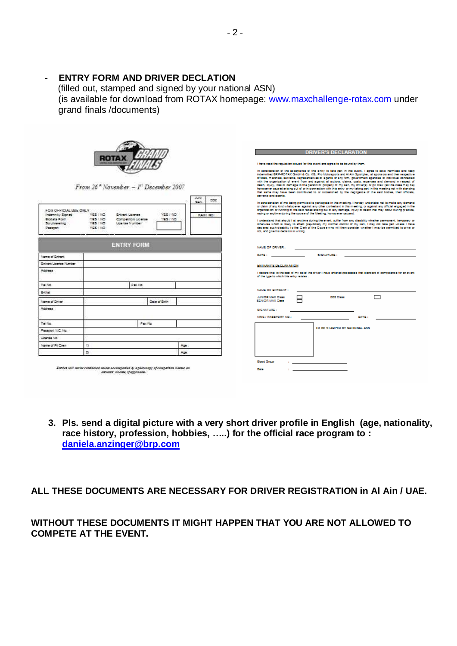#### - **ENTRY FORM AND DRIVER DECLATION**

 (filled out, stamped and signed by your national ASN) (is available for download from ROTAX homepage: <www.maxchallenge-rotax.com> under grand finals /documents)

|                                                                | From 26 <sup>*</sup> November - $I^{\prime\prime}$ December 2007                                                                          |                     | 3.29<br>002<br>52% |      | servants and agents.                                                                                                  |   | <b>DRIVER'S DECLARATION</b><br>I have read the regulation is sued for this event and a gree to be bound by them.<br>In consideration of the acceptance of this entry to take part in this event. I agree to save harmless and keep<br>indemnified BRP-ROTAX GmbH & Co. KG. Pro Motorsports and Al Ain Sportplac, all sports and their respective<br>officials, marshals, servants, regreseriatives or agents or any firm, government agencies or individual connected<br>with the priganization of event from and against all actions, claims, costs, expenses and demand in respect of<br>death, injury, loss or damage to the gerson or property of my self, my driver(s) or pit crew (as the case may be)<br>hous sever caused arising out of or in connection with this entry or my taking part in this meeting not with standing<br>that same may have been contributed to or occasioned by the negligence of the said bodies, their officials, |       |  |
|----------------------------------------------------------------|-------------------------------------------------------------------------------------------------------------------------------------------|---------------------|--------------------|------|-----------------------------------------------------------------------------------------------------------------------|---|------------------------------------------------------------------------------------------------------------------------------------------------------------------------------------------------------------------------------------------------------------------------------------------------------------------------------------------------------------------------------------------------------------------------------------------------------------------------------------------------------------------------------------------------------------------------------------------------------------------------------------------------------------------------------------------------------------------------------------------------------------------------------------------------------------------------------------------------------------------------------------------------------------------------------------------------------|-------|--|
| Indemnity Signed<br>Blodaia Form<br>Scrutine ering<br>Passhort | YES ( NO<br><b>Entrant License</b><br>335 AND<br>Competition License<br>YES ( NO<br><b>License</b> Number<br>-0629-063<br><b>YES / NO</b> | YES! NO<br>YES / NG | KANI NO:           |      | not, and give his decision in writing.                                                                                |   | In consideration of me being permitted to participate in this meeting. I hereby undertake not to make any demand<br>or claim of any kind whatsoever against any other contestant in this meeting, or against any official engaged in the<br>organization or running of the said races arising out of any damage, injury or death that may occur during practice.<br>racing or anytime during the course of the Meeting, howabever caused.<br>I understand that should I at anytime during the event, suffer from any disability whether permanent, temporary or<br>ctherwise which is likely to affect prejudicially my normal control of my kert. I may not take part unless I have<br>declared such disability to the Clerk of the Course who will then consider whether I may be permitted to drive or                                                                                                                                            |       |  |
|                                                                | <b>ENTRY FORM</b>                                                                                                                         |                     |                    |      | NAME OF DRIVER :                                                                                                      |   |                                                                                                                                                                                                                                                                                                                                                                                                                                                                                                                                                                                                                                                                                                                                                                                                                                                                                                                                                      |       |  |
| Name of Entrant                                                |                                                                                                                                           |                     |                    |      | <b>DATE:</b> Production of the state of the state of the state of the state of the state of the state of the state of |   | SICNATURE:                                                                                                                                                                                                                                                                                                                                                                                                                                                                                                                                                                                                                                                                                                                                                                                                                                                                                                                                           |       |  |
| Entrant License Number                                         |                                                                                                                                           |                     |                    |      | ENTRANT'S DECEMBATION                                                                                                 |   |                                                                                                                                                                                                                                                                                                                                                                                                                                                                                                                                                                                                                                                                                                                                                                                                                                                                                                                                                      |       |  |
| Address                                                        |                                                                                                                                           |                     |                    |      | of the type to which this entry relates .                                                                             |   | I declare that to the best of my belief the driver I have lentered posissesses that standard of completence for an event                                                                                                                                                                                                                                                                                                                                                                                                                                                                                                                                                                                                                                                                                                                                                                                                                             |       |  |
| 74.844                                                         | First No.                                                                                                                                 |                     |                    |      |                                                                                                                       |   |                                                                                                                                                                                                                                                                                                                                                                                                                                                                                                                                                                                                                                                                                                                                                                                                                                                                                                                                                      |       |  |
| S-Wall                                                         |                                                                                                                                           |                     |                    |      | NAME OF ENTRANT :                                                                                                     |   |                                                                                                                                                                                                                                                                                                                                                                                                                                                                                                                                                                                                                                                                                                                                                                                                                                                                                                                                                      |       |  |
| Name of Driver                                                 |                                                                                                                                           | Date of Britt       |                    |      | JUNIOR MAX CHIH<br>SENIOR MAX Class                                                                                   | 口 | DDZ Class                                                                                                                                                                                                                                                                                                                                                                                                                                                                                                                                                                                                                                                                                                                                                                                                                                                                                                                                            | 冖     |  |
| Access                                                         |                                                                                                                                           |                     |                    |      | SIGNATURE:                                                                                                            |   |                                                                                                                                                                                                                                                                                                                                                                                                                                                                                                                                                                                                                                                                                                                                                                                                                                                                                                                                                      |       |  |
|                                                                |                                                                                                                                           |                     |                    |      | NRIC / PASSPORT NO.:                                                                                                  |   |                                                                                                                                                                                                                                                                                                                                                                                                                                                                                                                                                                                                                                                                                                                                                                                                                                                                                                                                                      | DATE: |  |
| Tal No.                                                        |                                                                                                                                           | Page No.            |                    |      |                                                                                                                       |   |                                                                                                                                                                                                                                                                                                                                                                                                                                                                                                                                                                                                                                                                                                                                                                                                                                                                                                                                                      |       |  |
| Passport / LC / No.                                            |                                                                                                                                           |                     |                    |      |                                                                                                                       |   | TO BE STANDED BY NATIONAL ASN                                                                                                                                                                                                                                                                                                                                                                                                                                                                                                                                                                                                                                                                                                                                                                                                                                                                                                                        |       |  |
| License No                                                     |                                                                                                                                           |                     |                    |      |                                                                                                                       |   |                                                                                                                                                                                                                                                                                                                                                                                                                                                                                                                                                                                                                                                                                                                                                                                                                                                                                                                                                      |       |  |
| Name of Pit Crest                                              | $\mathbb{Z}$                                                                                                                              |                     | Age:               |      |                                                                                                                       |   |                                                                                                                                                                                                                                                                                                                                                                                                                                                                                                                                                                                                                                                                                                                                                                                                                                                                                                                                                      |       |  |
|                                                                | 21                                                                                                                                        |                     | Age.               |      |                                                                                                                       |   |                                                                                                                                                                                                                                                                                                                                                                                                                                                                                                                                                                                                                                                                                                                                                                                                                                                                                                                                                      |       |  |
|                                                                | Entries will not be considered unions accompanied by a photocopy of compatition liarned an                                                |                     |                    | Date | <b>Blood Group</b>                                                                                                    |   |                                                                                                                                                                                                                                                                                                                                                                                                                                                                                                                                                                                                                                                                                                                                                                                                                                                                                                                                                      |       |  |

**3. Pls. send a digital picture with a very short driver profile in English (age, nationality, race history, profession, hobbies, …..) for the official race program to : [daniela.anzinger@brp.com](mailto:daniela.anzinger@brp.com)**

**ALL THESE DOCUMENTS ARE NECESSARY FOR DRIVER REGISTRATION in Al Ain / UAE.**

**WITHOUT THESE DOCUMENTS IT MIGHT HAPPEN THAT YOU ARE NOT ALLOWED TO COMPETE AT THE EVENT.**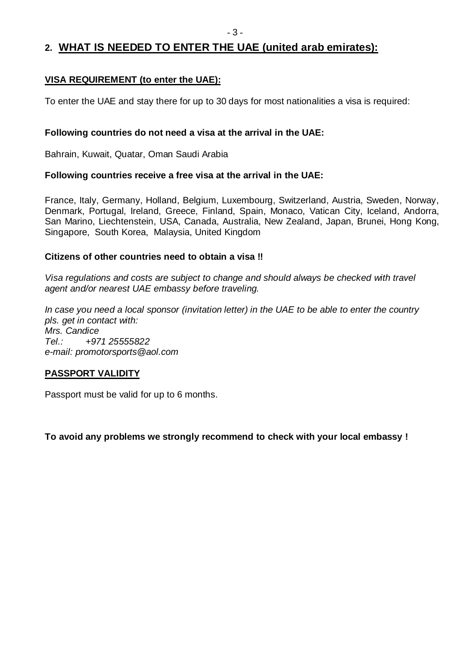## **2. WHAT IS NEEDED TO ENTER THE UAE (united arab emirates):**

### **VISA REQUIREMENT (to enter the UAE):**

To enter the UAE and stay there for up to 30 days for most nationalities a visa is required:

#### **Following countries do not need a visa at the arrival in the UAE:**

Bahrain, Kuwait, Quatar, Oman Saudi Arabia

#### **Following countries receive a free visa at the arrival in the UAE:**

France, Italy, Germany, Holland, Belgium, Luxembourg, Switzerland, Austria, Sweden, Norway, Denmark, Portugal, Ireland, Greece, Finland, Spain, Monaco, Vatican City, Iceland, Andorra, San Marino, Liechtenstein, USA, Canada, Australia, New Zealand, Japan, Brunei, Hong Kong, Singapore, South Korea, Malaysia, United Kingdom

#### **Citizens of other countries need to obtain a visa !!**

*Visa regulations and costs are subject to change and should always be checked with travel agent and/or nearest UAE embassy before traveling.*

*In case you need a local sponsor (invitation letter) in the UAE to be able to enter the country pls. get in contact with: Mrs. Candice Tel.: +971 25555822 e-mail: [promotorsports@aol.com](mailto:promotorsports@aol.com)*

#### **PASSPORT VALIDITY**

Passport must be valid for up to 6 months.

**To avoid any problems we strongly recommend to check with your local embassy !**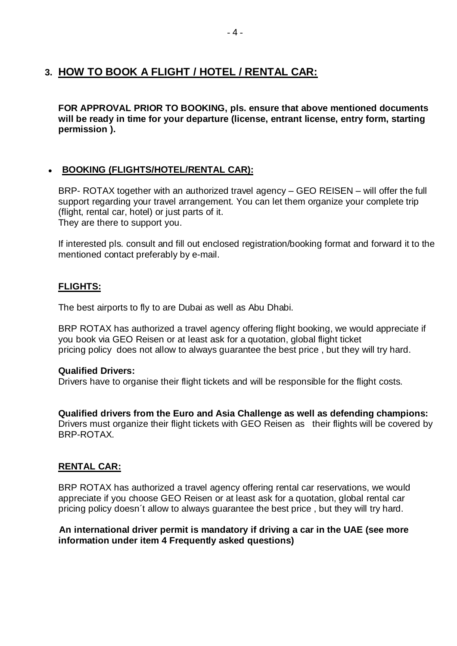## **3. HOW TO BOOK A FLIGHT / HOTEL / RENTAL CAR:**

**FOR APPROVAL PRIOR TO BOOKING, pls. ensure that above mentioned documents will be ready in time for your departure (license, entrant license, entry form, starting permission ).**

#### **BOOKING (FLIGHTS/HOTEL/RENTAL CAR):**

BRP- ROTAX together with an authorized travel agency – GEO REISEN – will offer the full support regarding your travel arrangement. You can let them organize your complete trip (flight, rental car, hotel) or just parts of it. They are there to support you.

If interested pls. consult and fill out enclosed registration/booking format and forward it to the mentioned contact preferably by e-mail.

#### **FLIGHTS:**

The best airports to fly to are Dubai as well as Abu Dhabi.

BRP ROTAX has authorized a travel agency offering flight booking, we would appreciate if you book via GEO Reisen or at least ask for a quotation, global flight ticket pricing policy does not allow to always guarantee the best price , but they will try hard.

#### **Qualified Drivers:**

Drivers have to organise their flight tickets and will be responsible for the flight costs.

## **Qualified drivers from the Euro and Asia Challenge as well as defending champions:**

Drivers must organize their flight tickets with GEO Reisen as their flights will be covered by BRP-ROTAX.

#### **RENTAL CAR:**

BRP ROTAX has authorized a travel agency offering rental car reservations, we would appreciate if you choose GEO Reisen or at least ask for a quotation, global rental car pricing policy doesn´t allow to always guarantee the best price , but they will try hard.

#### **An international driver permit is mandatory if driving a car in the UAE (see more information under item 4 Frequently asked questions)**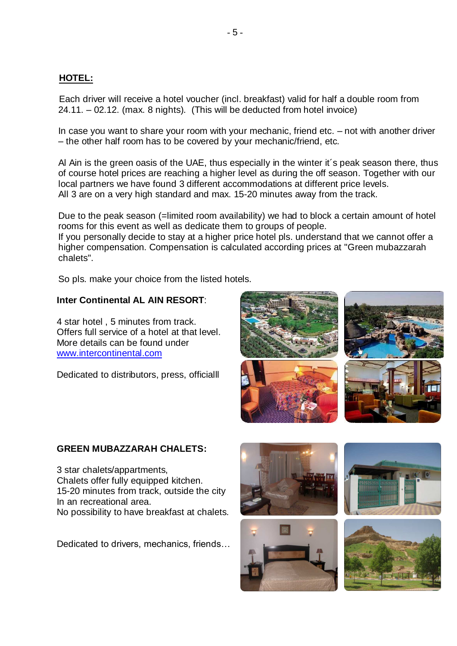#### **HOTEL:**

Each driver will receive a hotel voucher (incl. breakfast) valid for half a double room from 24.11. – 02.12. (max. 8 nights). (This will be deducted from hotel invoice)

In case you want to share your room with your mechanic, friend etc. – not with another driver – the other half room has to be covered by your mechanic/friend, etc.

Al Ain is the green oasis of the UAE, thus especially in the winter it´s peak season there, thus of course hotel prices are reaching a higher level as during the off season. Together with our local partners we have found 3 different accommodations at different price levels. All 3 are on a very high standard and max. 15-20 minutes away from the track.

Due to the peak season (=limited room availability) we had to block a certain amount of hotel rooms for this event as well as dedicate them to groups of people.

If you personally decide to stay at a higher price hotel pls. understand that we cannot offer a higher compensation. Compensation is calculated according prices at "Green mubazzarah chalets".

So pls. make your choice from the listed hotels.

#### **Inter Continental AL AIN RESORT**:

4 star hotel , 5 minutes from track. Offers full service of a hotel at that level. More details can be found under <www.intercontinental.com>

Dedicated to distributors, press, officialll



#### **GREEN MUBAZZARAH CHALETS:**

3 star chalets/appartments, Chalets offer fully equipped kitchen. 15-20 minutes from track, outside the city In an recreational area. No possibility to have breakfast at chalets.

Dedicated to drivers, mechanics, friends…





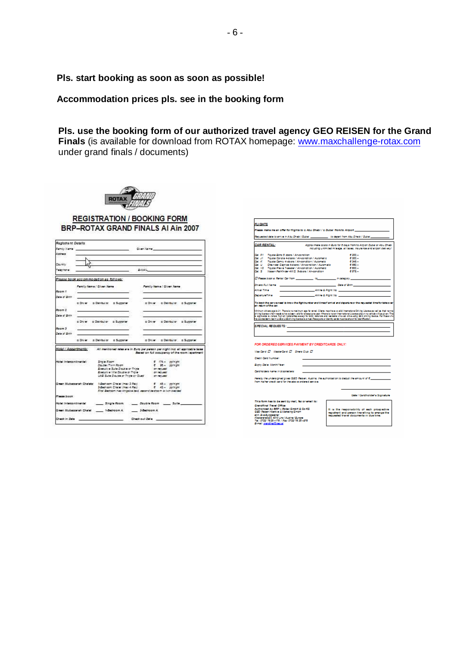**Pls. start booking as soon as soon as possible!**

**Accommodation prices pls. see in the booking form**

**Pls. use the booking form of our authorized travel agency GEO REISEN for the Grand Finals** (is available for download from ROTAX homepage: <www.maxchallenge-rotax.com> under grand finals / documents)



#### **REGISTRATION / BOOKING FORM** BRP-ROTAX GRAND FINALS AI Ain 2007

| Registrant Details<br>Address                     |               | Family Name and Contract in the Contract of the Contract of the Contract of the Contract of the Contract of the |                                                                                                                                   | Clust Name: Committee<br><b>E-MAIL COMMISSION</b> |             |                                                                                             |                                                                                                                                                          |
|---------------------------------------------------|---------------|-----------------------------------------------------------------------------------------------------------------|-----------------------------------------------------------------------------------------------------------------------------------|---------------------------------------------------|-------------|---------------------------------------------------------------------------------------------|----------------------------------------------------------------------------------------------------------------------------------------------------------|
| Country<br>Telephone                              | $\frac{1}{2}$ |                                                                                                                 |                                                                                                                                   |                                                   |             |                                                                                             |                                                                                                                                                          |
|                                                   |               | Please book accommodation as follows:                                                                           |                                                                                                                                   |                                                   |             |                                                                                             |                                                                                                                                                          |
| Docum 1.                                          |               | Parally Name / Given Name                                                                                       |                                                                                                                                   |                                                   |             | Furthy Name / Given Name                                                                    |                                                                                                                                                          |
| Date of Birth                                     |               | c Dny = 2 Datribular = Supporter                                                                                |                                                                                                                                   |                                                   |             | c Diver c Dairbulor c Supporter                                                             |                                                                                                                                                          |
| Room 2<br>Date of Sirik :                         |               | the control of the control of the control of                                                                    |                                                                                                                                   |                                                   |             |                                                                                             |                                                                                                                                                          |
| Doom 3<br>Date of Birth                           |               | c Driver c Daimbul or c Summiter                                                                                |                                                                                                                                   |                                                   |             | c Dnyw c Dairbulor c Sunnotar                                                               |                                                                                                                                                          |
|                                                   |               | d Driver, a Datributor a Sunnorter                                                                              |                                                                                                                                   |                                                   |             | c Driver c Daimbul or c Supporter                                                           |                                                                                                                                                          |
|                                                   |               |                                                                                                                 |                                                                                                                                   |                                                   |             |                                                                                             | Hotel / Appartments: All mentioned rates are in Euro per person per night incl. all applicable terms<br>desed on full accupation of the room (apartment) |
| <b>STORY ARTICLE</b><br>tates attempted at lately |               | Show Room                                                                                                       | Double / Tiern Room<br>Entrutive Suite Double or Triple<br>Esecutive Villa Double or Trible<br>UAE Suite Double or Triple or Oued |                                                   |             | $f = 174 -$ coinight<br>$f$ $M  m$ $m$<br><b>STIRTURE</b><br>on net user<br><b>STIMULAR</b> |                                                                                                                                                          |
| Green Muturmansh Chalety:                         |               |                                                                                                                 |                                                                                                                                   |                                                   |             | First Bedroom has kingstoe bed, second bedroom is twin bedded.                              |                                                                                                                                                          |
| Please book                                       |               |                                                                                                                 |                                                                                                                                   |                                                   |             |                                                                                             |                                                                                                                                                          |
|                                                   |               |                                                                                                                 |                                                                                                                                   |                                                   |             |                                                                                             |                                                                                                                                                          |
|                                                   |               | Green Mubaccanah Chalet _____ 1-Bedroom A.                                                                      |                                                                                                                                   |                                                   | 2-Bedroom A |                                                                                             |                                                                                                                                                          |
| Check in Dele                                     |               | <b>Check out Date</b>                                                                                           |                                                                                                                                   |                                                   |             |                                                                                             |                                                                                                                                                          |

| Requested date to arrive in A by Chabi / Cubal ____________ to depart from Aby Dhabi / Cubal _______<br><b>CAR RENTAL:</b><br>Approximate coata in Suro for 8 days from to Atmort Dubal or Abu Dhabi<br>including unlimited mileage, all faces, insurance and aimort delivery/<br>6,200 -<br>Toyda Echo 5 doors / Alveond flori<br>6,200 -<br>Toyota Corolla 4-doors / Air-condition / Automatic<br>Toyota Camry 4-doors / All-condition / Automatic<br>6,345 -<br>Chevrolet Camica 4-doors / Al-condition / Automatic<br>$-0.550 -$<br>Toyota Phevia T-seatler / Alt-condition / Automatic<br>$0.000 -$<br><b>CATE-</b><br>Nassn Pathfinder 4WD, Sdoors / Al-condition<br><u><b>Carlo Communication Carlo Carlo Communication Carlo Carlo Carlo Carlo Carlo Carlo Carlo Carlo Carlo Carlo Carlo Carlo Carlo Carlo Carlo Carlo Carlo Carlo Carlo Carlo Carlo Carlo Carlo Carlo Carlo Carlo Carlo Carlo Carlo </b></u><br>Although Fight No. 2006. The Contract of the Although State of the Although State of the Although State of the Although State of the Although State of the Although State of the Although State of the Although State of the A<br>A Him & Film N. No. 1999. The State of the State of the State of the State of the State of the State of the State of the State of the State of the State of the State of the State of the State of the State of the State of t |                     |  | Please make me an offer for filights to c Abu Dhabi / c Dubal from to Alrport ______________________ |  |
|-------------------------------------------------------------------------------------------------------------------------------------------------------------------------------------------------------------------------------------------------------------------------------------------------------------------------------------------------------------------------------------------------------------------------------------------------------------------------------------------------------------------------------------------------------------------------------------------------------------------------------------------------------------------------------------------------------------------------------------------------------------------------------------------------------------------------------------------------------------------------------------------------------------------------------------------------------------------------------------------------------------------------------------------------------------------------------------------------------------------------------------------------------------------------------------------------------------------------------------------------------------------------------------------------------------------------------------------------------------------------------------------|---------------------|--|------------------------------------------------------------------------------------------------------|--|
|                                                                                                                                                                                                                                                                                                                                                                                                                                                                                                                                                                                                                                                                                                                                                                                                                                                                                                                                                                                                                                                                                                                                                                                                                                                                                                                                                                                           |                     |  |                                                                                                      |  |
|                                                                                                                                                                                                                                                                                                                                                                                                                                                                                                                                                                                                                                                                                                                                                                                                                                                                                                                                                                                                                                                                                                                                                                                                                                                                                                                                                                                           |                     |  |                                                                                                      |  |
|                                                                                                                                                                                                                                                                                                                                                                                                                                                                                                                                                                                                                                                                                                                                                                                                                                                                                                                                                                                                                                                                                                                                                                                                                                                                                                                                                                                           |                     |  |                                                                                                      |  |
|                                                                                                                                                                                                                                                                                                                                                                                                                                                                                                                                                                                                                                                                                                                                                                                                                                                                                                                                                                                                                                                                                                                                                                                                                                                                                                                                                                                           |                     |  |                                                                                                      |  |
| <b>Carl Add</b><br>DA JE<br><b>Cat. At</b>                                                                                                                                                                                                                                                                                                                                                                                                                                                                                                                                                                                                                                                                                                                                                                                                                                                                                                                                                                                                                                                                                                                                                                                                                                                                                                                                                |                     |  |                                                                                                      |  |
|                                                                                                                                                                                                                                                                                                                                                                                                                                                                                                                                                                                                                                                                                                                                                                                                                                                                                                                                                                                                                                                                                                                                                                                                                                                                                                                                                                                           |                     |  |                                                                                                      |  |
| ca. u<br><b>Cat. V2</b>                                                                                                                                                                                                                                                                                                                                                                                                                                                                                                                                                                                                                                                                                                                                                                                                                                                                                                                                                                                                                                                                                                                                                                                                                                                                                                                                                                   |                     |  |                                                                                                      |  |
|                                                                                                                                                                                                                                                                                                                                                                                                                                                                                                                                                                                                                                                                                                                                                                                                                                                                                                                                                                                                                                                                                                                                                                                                                                                                                                                                                                                           |                     |  |                                                                                                      |  |
| <b>CALLS</b><br><b>Drivers Ford Name</b><br>Antal Time<br><b>Change Port Times</b><br>To book the carwenest to know the fishtnumber and timeof arrival and departum or the nouvasted firm for take over<br>Minimum drinas apa is 21. Thara is no maximum apa for antal. Clans, muschava a valid international Driving Libersa as wall as that rormal<br>driving loanse which needs to have been valid for atleastone year. Phene is noten international License shown no which will be given. This<br>k amicabli is victos fromal natoralities experitiv@CC retorals and resident who can drive usho @CC driving Rence. For those who<br>have a realdynt visa in UdG a UdG driving loance is a must Passport or identity cards must be shown for identification.<br>S PECIAL REQUESTS: A CONTRACTOR CONTRACTOR CONTRACTOR CONTRACTOR<br>FOR ORDERED SERVICES PAYMENT BY CREDITCARDS ONLY:<br>Was Card $D$ . Marketind $D$ . Dinner Club $D$<br>Credit Card Nomber:<br>Exply Date: Modify Year:<br>Cardholders name in blookletters:                                                                                                                                                                                                                                                                                                                                                       |                     |  |                                                                                                      |  |
|                                                                                                                                                                                                                                                                                                                                                                                                                                                                                                                                                                                                                                                                                                                                                                                                                                                                                                                                                                                                                                                                                                                                                                                                                                                                                                                                                                                           |                     |  |                                                                                                      |  |
|                                                                                                                                                                                                                                                                                                                                                                                                                                                                                                                                                                                                                                                                                                                                                                                                                                                                                                                                                                                                                                                                                                                                                                                                                                                                                                                                                                                           |                     |  |                                                                                                      |  |
|                                                                                                                                                                                                                                                                                                                                                                                                                                                                                                                                                                                                                                                                                                                                                                                                                                                                                                                                                                                                                                                                                                                                                                                                                                                                                                                                                                                           |                     |  |                                                                                                      |  |
|                                                                                                                                                                                                                                                                                                                                                                                                                                                                                                                                                                                                                                                                                                                                                                                                                                                                                                                                                                                                                                                                                                                                                                                                                                                                                                                                                                                           |                     |  |                                                                                                      |  |
|                                                                                                                                                                                                                                                                                                                                                                                                                                                                                                                                                                                                                                                                                                                                                                                                                                                                                                                                                                                                                                                                                                                                                                                                                                                                                                                                                                                           |                     |  |                                                                                                      |  |
|                                                                                                                                                                                                                                                                                                                                                                                                                                                                                                                                                                                                                                                                                                                                                                                                                                                                                                                                                                                                                                                                                                                                                                                                                                                                                                                                                                                           |                     |  |                                                                                                      |  |
|                                                                                                                                                                                                                                                                                                                                                                                                                                                                                                                                                                                                                                                                                                                                                                                                                                                                                                                                                                                                                                                                                                                                                                                                                                                                                                                                                                                           |                     |  |                                                                                                      |  |
|                                                                                                                                                                                                                                                                                                                                                                                                                                                                                                                                                                                                                                                                                                                                                                                                                                                                                                                                                                                                                                                                                                                                                                                                                                                                                                                                                                                           |                     |  |                                                                                                      |  |
|                                                                                                                                                                                                                                                                                                                                                                                                                                                                                                                                                                                                                                                                                                                                                                                                                                                                                                                                                                                                                                                                                                                                                                                                                                                                                                                                                                                           | an mism of the car. |  |                                                                                                      |  |
|                                                                                                                                                                                                                                                                                                                                                                                                                                                                                                                                                                                                                                                                                                                                                                                                                                                                                                                                                                                                                                                                                                                                                                                                                                                                                                                                                                                           |                     |  |                                                                                                      |  |
|                                                                                                                                                                                                                                                                                                                                                                                                                                                                                                                                                                                                                                                                                                                                                                                                                                                                                                                                                                                                                                                                                                                                                                                                                                                                                                                                                                                           |                     |  |                                                                                                      |  |
|                                                                                                                                                                                                                                                                                                                                                                                                                                                                                                                                                                                                                                                                                                                                                                                                                                                                                                                                                                                                                                                                                                                                                                                                                                                                                                                                                                                           |                     |  |                                                                                                      |  |
|                                                                                                                                                                                                                                                                                                                                                                                                                                                                                                                                                                                                                                                                                                                                                                                                                                                                                                                                                                                                                                                                                                                                                                                                                                                                                                                                                                                           |                     |  |                                                                                                      |  |
|                                                                                                                                                                                                                                                                                                                                                                                                                                                                                                                                                                                                                                                                                                                                                                                                                                                                                                                                                                                                                                                                                                                                                                                                                                                                                                                                                                                           |                     |  |                                                                                                      |  |
|                                                                                                                                                                                                                                                                                                                                                                                                                                                                                                                                                                                                                                                                                                                                                                                                                                                                                                                                                                                                                                                                                                                                                                                                                                                                                                                                                                                           |                     |  |                                                                                                      |  |
|                                                                                                                                                                                                                                                                                                                                                                                                                                                                                                                                                                                                                                                                                                                                                                                                                                                                                                                                                                                                                                                                                                                                                                                                                                                                                                                                                                                           |                     |  |                                                                                                      |  |
|                                                                                                                                                                                                                                                                                                                                                                                                                                                                                                                                                                                                                                                                                                                                                                                                                                                                                                                                                                                                                                                                                                                                                                                                                                                                                                                                                                                           |                     |  |                                                                                                      |  |

Hereby the undersigned gives GSO Rebert, Austria, the authorization to deduct the<br>from his/her ore dil card for the above ordered service.

Date / Cardholder's Signature

.<br>has to be sent by mall, fax or email to. Candillas Tavel Office<br>Authorized by BRP - Roter GmbH & Co KG<br>GEO Rebeningedive & Materias GmbH atin, Dve Surggessner<br>Klasterstreße 4, 4010 Lins / Austrie/ Durope<br>Tel.: 0732/ 76.25 – 176 / Pax: 0732/76.25 –976

It is the responsibility of each prospective registrant and person travelling to arrange the requested travel documents in due time.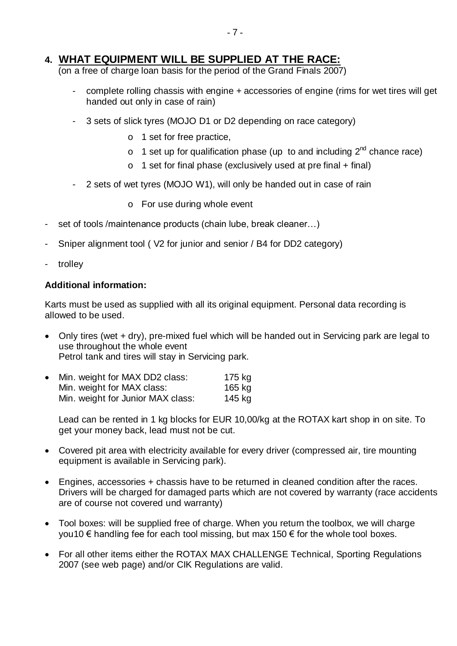### **4. WHAT EQUIPMENT WILL BE SUPPLIED AT THE RACE:**

(on a free of charge loan basis for the period of the Grand Finals 2007)

- complete rolling chassis with engine + accessories of engine (rims for wet tires will get handed out only in case of rain)
- 3 sets of slick tyres (MOJO D1 or D2 depending on race category)
	- o 1 set for free practice,
	- $\circ$  1 set up for qualification phase (up to and including  $2^{nd}$  chance race)
	- $\circ$  1 set for final phase (exclusively used at pre final + final)
- 2 sets of wet tyres (MOJO W1), will only be handed out in case of rain
	- o For use during whole event
- set of tools /maintenance products (chain lube, break cleaner…)
- Sniper alignment tool ( V2 for junior and senior / B4 for DD2 category)
- trolley

#### **Additional information:**

Karts must be used as supplied with all its original equipment. Personal data recording is allowed to be used.

- Only tires (wet + dry), pre-mixed fuel which will be handed out in Servicing park are legal to use throughout the whole event Petrol tank and tires will stay in Servicing park.
- Min. weight for MAX DD2 class: 175 kg Min. weight for MAX class: 165 kg Min. weight for Junior MAX class: 145 kg

Lead can be rented in 1 kg blocks for EUR 10,00/kg at the ROTAX kart shop in on site. To get your money back, lead must not be cut.

- Covered pit area with electricity available for every driver (compressed air, tire mounting equipment is available in Servicing park).
- Engines, accessories + chassis have to be returned in cleaned condition after the races. Drivers will be charged for damaged parts which are not covered by warranty (race accidents are of course not covered und warranty)
- Tool boxes: will be supplied free of charge. When you return the toolbox, we will charge you10  $€$  handling fee for each tool missing, but max 150  $€$  for the whole tool boxes.
- For all other items either the ROTAX MAX CHALLENGE Technical, Sporting Regulations 2007 (see web page) and/or CIK Regulations are valid.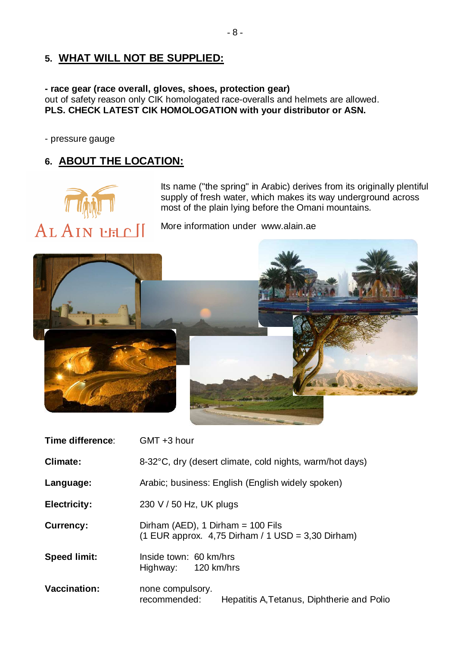## **5. WHAT WILL NOT BE SUPPLIED:**

#### **- race gear (race overall, gloves, shoes, protection gear)**  out of safety reason only CIK homologated race-overalls and helmets are allowed. **PLS. CHECK LATEST CIK HOMOLOGATION with your distributor or ASN.**

- pressure gauge

## **6. ABOUT THE LOCATION:**



Its name ("the spring" in Arabic) derives from its originally plentiful supply of fresh water, which makes its way underground across most of the plain lying before the Omani mountains.

More information under <www.alain.ae>



| Time difference:    | GMT +3 hour                                                                                |  |  |
|---------------------|--------------------------------------------------------------------------------------------|--|--|
| Climate:            | 8-32°C, dry (desert climate, cold nights, warm/hot days)                                   |  |  |
| Language:           | Arabic; business: English (English widely spoken)                                          |  |  |
| <b>Electricity:</b> | 230 V / 50 Hz, UK plugs                                                                    |  |  |
| <b>Currency:</b>    | Dirham (AED), 1 Dirham = $100$ Fils<br>$(1$ EUR approx. 4,75 Dirham / 1 USD = 3,30 Dirham) |  |  |
| <b>Speed limit:</b> | Inside town: 60 km/hrs<br>Highway: 120 km/hrs                                              |  |  |
| <b>Vaccination:</b> | none compulsory.<br>recommended:<br>Hepatitis A. Tetanus, Diphtherie and Polic             |  |  |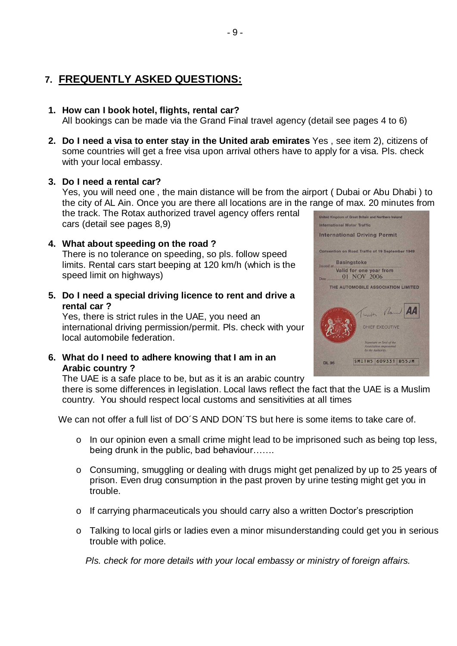## **7. FREQUENTLY ASKED QUESTIONS:**

#### **1. How can I book hotel, flights, rental car?**

All bookings can be made via the Grand Final travel agency (detail see pages 4 to 6)

**2. Do I need a visa to enter stay in the United arab emirates** Yes , see item 2), citizens of some countries will get a free visa upon arrival others have to apply for a visa. Pls. check with your local embassy.

#### **3. Do I need a rental car?**

Yes, you will need one , the main distance will be from the airport ( Dubai or Abu Dhabi ) to the city of AL Ain. Once you are there all locations are in the range of max. 20 minutes from the track. The Rotax authorized travel agency offers rental United Kingdom of Great Britain and Northern Ireland

cars (detail see pages 8,9)

- **4. What about speeding on the road ?** There is no tolerance on speeding, so pls. follow speed limits. Rental cars start beeping at 120 km/h (which is the speed limit on highways)
- **5. Do I need a special driving licence to rent and drive a rental car ?**

Yes, there is strict rules in the UAE, you need an international driving permission/permit. Pls. check with your local automobile federation.

**6. What do I need to adhere knowing that I am in an Arabic country ?**



The UAE is a safe place to be, but as it is an arabic country there is some differences in legislation. Local laws reflect the fact that the UAE is a Muslim country. You should respect local customs and sensitivities at all times

We can not offer a full list of DO'S AND DON'TS but here is some items to take care of.

- o In our opinion even a small crime might lead to be imprisoned such as being top less, being drunk in the public, bad behaviour…….
- o Consuming, smuggling or dealing with drugs might get penalized by up to 25 years of prison. Even drug consumption in the past proven by urine testing might get you in trouble.
- o If carrying pharmaceuticals you should carry also a written Doctor's prescription
- o Talking to local girls or ladies even a minor misunderstanding could get you in serious trouble with police.

*Pls. check for more details with your local embassy or ministry of foreign affairs.*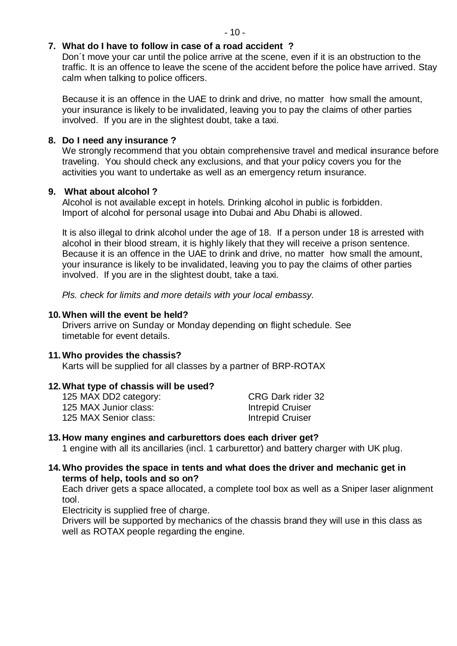#### **7. What do I have to follow in case of a road accident ?**

Don´t move your car until the police arrive at the scene, even if it is an obstruction to the traffic. It is an offence to leave the scene of the accident before the police have arrived. Stay calm when talking to police officers.

Because it is an offence in the UAE to drink and drive, no matter how small the amount, your insurance is likely to be invalidated, leaving you to pay the claims of other parties involved. If you are in the slightest doubt, take a taxi.

#### **8. Do I need any insurance ?**

We strongly recommend that you obtain comprehensive travel and medical insurance before traveling. You should check any exclusions, and that your policy covers you for the activities you want to undertake as well as an emergency return insurance.

#### **9. What about alcohol ?**

Alcohol is not available except in hotels. Drinking alcohol in public is forbidden. Import of alcohol for personal usage into Dubai and Abu Dhabi is allowed.

It is also illegal to drink alcohol under the age of 18. If a person under 18 is arrested with alcohol in their blood stream, it is highly likely that they will receive a prison sentence. Because it is an offence in the UAE to drink and drive, no matter how small the amount, your insurance is likely to be invalidated, leaving you to pay the claims of other parties involved. If you are in the slightest doubt, take a taxi.

 *Pls. check for limits and more details with your local embassy.*

#### **10.When will the event be held?**

Drivers arrive on Sunday or Monday depending on flight schedule. See timetable for event details.

#### **11.Who provides the chassis?**

Karts will be supplied for all classes by a partner of BRP-ROTAX

#### **12.What type of chassis will be used?**

| 125 MAX DD2 category: | CRG Dark rider 32       |
|-----------------------|-------------------------|
| 125 MAX Junior class: | <b>Intrepid Cruiser</b> |
| 125 MAX Senior class: | Intrepid Cruiser        |

#### **13.How many engines and carburettors does each driver get?**

1 engine with all its ancillaries (incl. 1 carburettor) and battery charger with UK plug.

#### **14.Who provides the space in tents and what does the driver and mechanic get in terms of help, tools and so on?**

Each driver gets a space allocated, a complete tool box as well as a Sniper laser alignment tool.

Electricity is supplied free of charge.

Drivers will be supported by mechanics of the chassis brand they will use in this class as well as ROTAX people regarding the engine.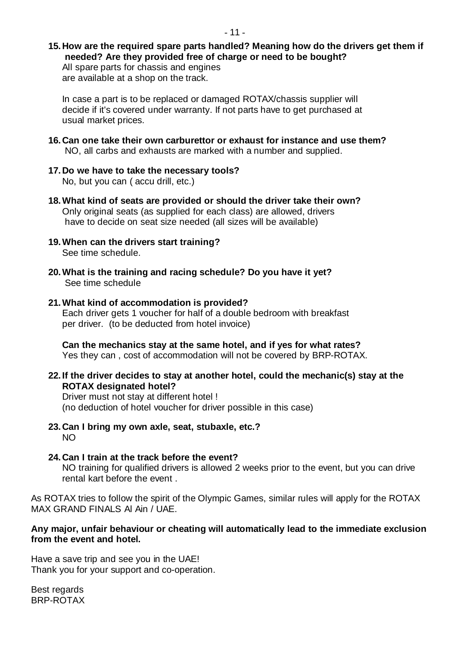#### **15.How are the required spare parts handled? Meaning how do the drivers get them if needed? Are they provided free of charge or need to be bought?** All spare parts for chassis and engines

are available at a shop on the track.

In case a part is to be replaced or damaged ROTAX/chassis supplier will decide if it's covered under warranty. If not parts have to get purchased at usual market prices.

- **16.Can one take their own carburettor or exhaust for instance and use them?** NO, all carbs and exhausts are marked with a number and supplied.
- **17.Do we have to take the necessary tools?** No, but you can ( accu drill, etc.)
- **18.What kind of seats are provided or should the driver take their own?** Only original seats (as supplied for each class) are allowed, drivers have to decide on seat size needed (all sizes will be available)
- **19.When can the drivers start training?** See time schedule.
- **20.What is the training and racing schedule? Do you have it yet?** See time schedule
- **21.What kind of accommodation is provided?** Each driver gets 1 voucher for half of a double bedroom with breakfast per driver. (to be deducted from hotel invoice)

**Can the mechanics stay at the same hotel, and if yes for what rates?** Yes they can , cost of accommodation will not be covered by BRP-ROTAX.

**22. If the driver decides to stay at another hotel, could the mechanic(s) stay at the ROTAX designated hotel?**

Driver must not stay at different hotel ! (no deduction of hotel voucher for driver possible in this case)

- **23.Can I bring my own axle, seat, stubaxle, etc.?**  $N<sub>O</sub>$
- **24.Can I train at the track before the event?** NO training for qualified drivers is allowed 2 weeks prior to the event, but you can drive rental kart before the event

As ROTAX tries to follow the spirit of the Olympic Games, similar rules will apply for the ROTAX MAX GRAND FINALS Al Ain / UAE.

#### **Any major, unfair behaviour or cheating will automatically lead to the immediate exclusion from the event and hotel.**

Have a save trip and see you in the UAE! Thank you for your support and co-operation.

Best regards BRP-ROTAX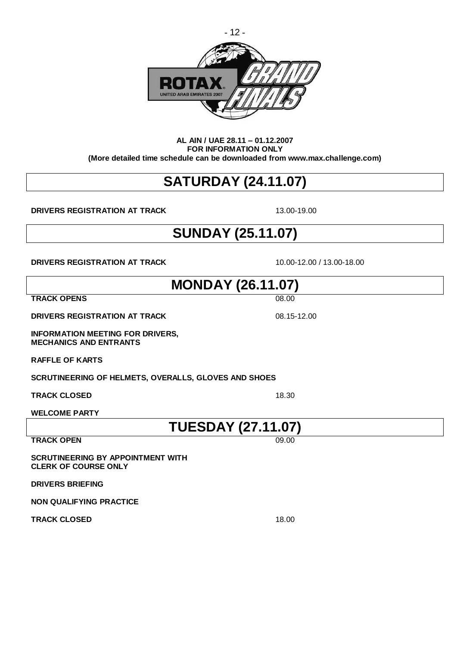

#### **AL AIN / UAE 28.11 – 01.12.2007 FOR INFORMATION ONLY (More detailed time schedule can be downloaded from [www.max.challenge.com\)](www.max.challenge.com)**

## **SATURDAY (24.11.07)**

**DRIVERS REGISTRATION AT TRACK** 13.00-19.00

## **SUNDAY (25.11.07)**

**DRIVERS REGISTRATION AT TRACK** 10.00-12.00 / 13.00-18.00

**MONDAY (26.11.07)**

**TRACK OPENS** 08.00

**DRIVERS REGISTRATION AT TRACK** 08.15-12.00

**INFORMATION MEETING FOR DRIVERS, MECHANICS AND ENTRANTS**

**RAFFLE OF KARTS**

**SCRUTINEERING OF HELMETS, OVERALLS, GLOVES AND SHOES**

**TRACK CLOSED** 18.30

**WELCOME PARTY**

**TUESDAY (27.11.07)**

**TRACK OPEN** 

**SCRUTINEERING BY APPOINTMENT WITH** 

**CLERK OF COURSE ONLY**

**DRIVERS BRIEFING**

**NON QUALIFYING PRACTICE**

**TRACK CLOSED** 18.00